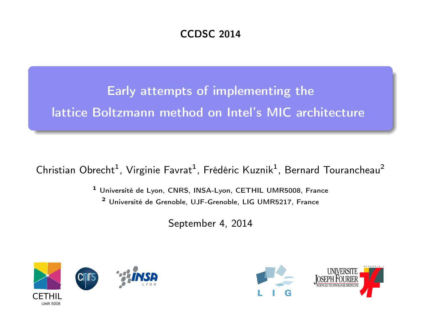#### CCDSC 2014

Early attempts of implementing the lattice Boltzmann method on Intel's MIC architecture

Christian Obrecht<sup>1</sup>, Virginie Favrat<sup>1</sup>, Frédéric Kuznik<sup>1</sup>, Bernard Tourancheau<sup>2</sup>

<sup>1</sup> Université de Lyon, CNRS, INSA-Lyon, CETHIL UMR5008, France <sup>2</sup> Université de Grenoble, UJF-Grenoble, LIG UMR5217, France

September 4, 2014



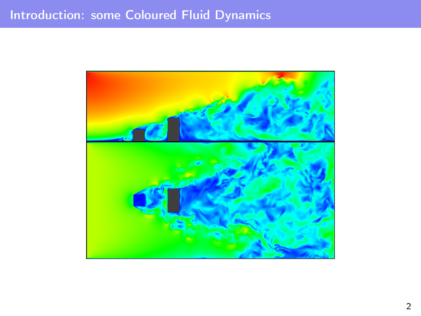## Introduction: some Coloured Fluid Dynamics

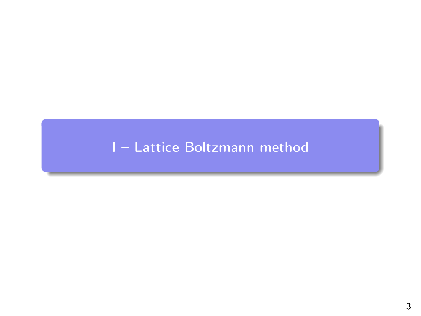# <span id="page-2-0"></span>I - Lattice Boltzmann method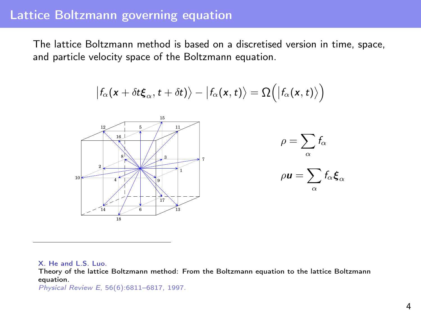#### Lattice Boltzmann governing equation

The lattice Boltzmann method is based on a discretised version in time, space, and particle velocity space of the Boltzmann equation.

$$
\big|f_{\alpha}(\textit{\textbf{x}}+\delta t \boldsymbol{\xi}_{\alpha},t+\delta t)\big\rangle-\big|f_{\alpha}(\textit{\textbf{x}},t)\big\rangle=\Omega\Big(\big|f_{\alpha}(\textit{\textbf{x}},t)\big\rangle\Big)
$$



X. He and L.S. Luo.

Theory of the lattice Boltzmann method: From the Boltzmann equation to the lattice Boltzmann equation.

Physical Review E, 56(6):6811–6817, 1997.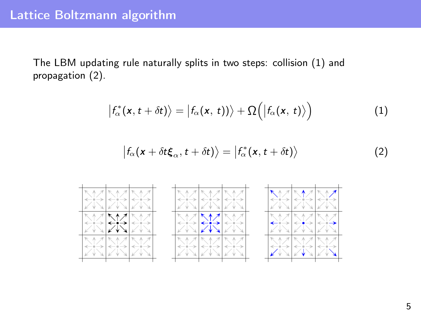## Lattice Boltzmann algorithm

The LBM updating rule naturally splits in two steps: collision [\(1\)](#page-4-0) and propagation [\(2\)](#page-4-1).

<span id="page-4-0"></span>
$$
\left|f_{\alpha}^{*}(x,t+\delta t)\right\rangle=\left|f_{\alpha}(x,t)\right\rangle+\Omega\left(\left|f_{\alpha}(x,t)\right\rangle\right) \tag{1}
$$

<span id="page-4-1"></span>
$$
\left|f_{\alpha}(x+\delta t\xi_{\alpha},t+\delta t)\right\rangle=\left|f_{\alpha}^{*}(x,t+\delta t)\right\rangle \tag{2}
$$

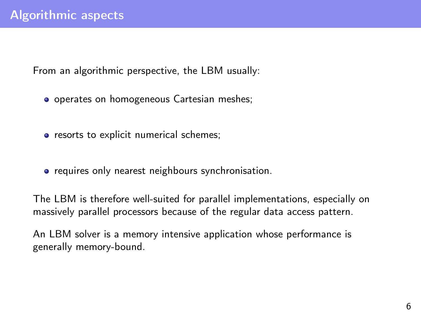From an algorithmic perspective, the LBM usually:

- o operates on homogeneous Cartesian meshes;
- resorts to explicit numerical schemes;
- **•** requires only nearest neighbours synchronisation.

The LBM is therefore well-suited for parallel implementations, especially on massively parallel processors because of the regular data access pattern.

An LBM solver is a memory intensive application whose performance is generally memory-bound.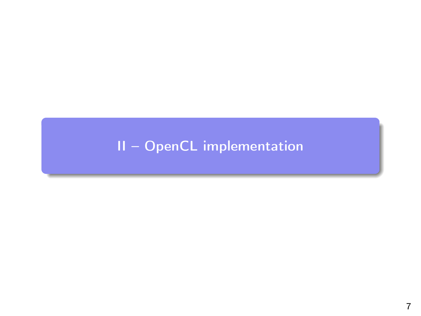# <span id="page-6-0"></span>II - OpenCL implementation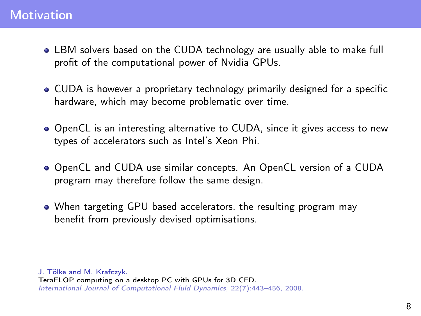## **Motivation**

- LBM solvers based on the CUDA technology are usually able to make full profit of the computational power of Nvidia GPUs.
- CUDA is however a proprietary technology primarily designed for a specific hardware, which may become problematic over time.
- OpenCL is an interesting alternative to CUDA, since it gives access to new types of accelerators such as Intel's Xeon Phi.
- OpenCL and CUDA use similar concepts. An OpenCL version of a CUDA program may therefore follow the same design.
- When targeting GPU based accelerators, the resulting program may benefit from previously devised optimisations.

J. Tölke and M. Krafczyk.

TeraFLOP computing on a desktop PC with GPUs for 3D CFD.

International Journal of Computational Fluid Dynamics, 22(7):443–456, 2008.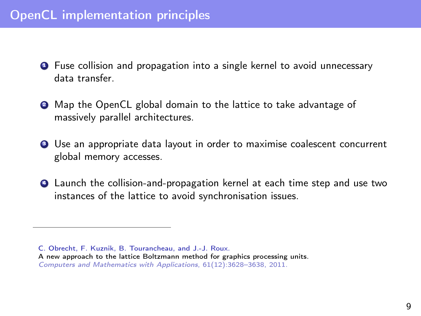## OpenCL implementation principles

- **1** Fuse collision and propagation into a single kernel to avoid unnecessary data transfer.
- **2** Map the OpenCL global domain to the lattice to take advantage of massively parallel architectures.
- **3** Use an appropriate data layout in order to maximise coalescent concurrent global memory accesses.
- **4** Launch the collision-and-propagation kernel at each time step and use two instances of the lattice to avoid synchronisation issues.

C. Obrecht, F. Kuznik, B. Tourancheau, and J.-J. Roux.

A new approach to the lattice Boltzmann method for graphics processing units. Computers and Mathematics with Applications, 61(12):3628–3638, 2011.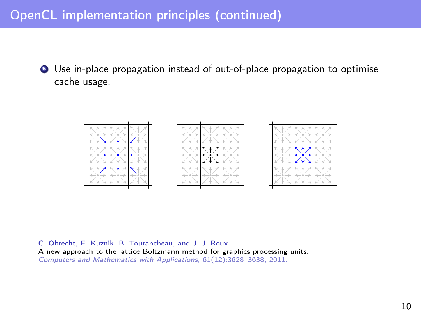## OpenCL implementation principles (continued)

**•** Use in-place propagation instead of out-of-place propagation to optimise cache usage.



C. Obrecht, F. Kuznik, B. Tourancheau, and J.-J. Roux. A new approach to the lattice Boltzmann method for graphics processing units. Computers and Mathematics with Applications, 61(12):3628–3638, 2011.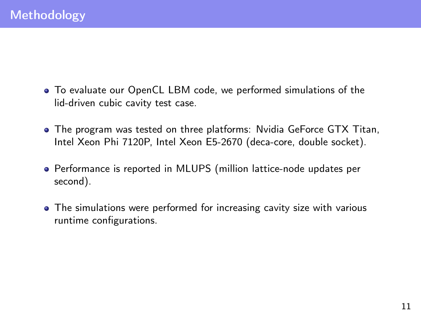- To evaluate our OpenCL LBM code, we performed simulations of the lid-driven cubic cavity test case.
- The program was tested on three platforms: Nvidia GeForce GTX Titan, Intel Xeon Phi 7120P, Intel Xeon E5-2670 (deca-core, double socket).
- Performance is reported in MLUPS (million lattice-node updates per second).
- The simulations were performed for increasing cavity size with various runtime configurations.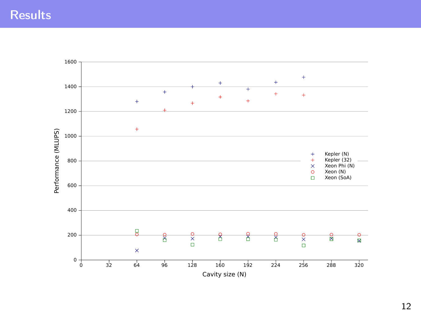## **Results**



12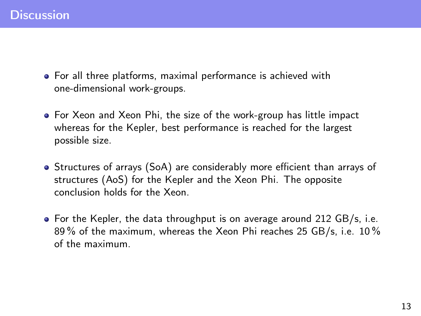- For all three platforms, maximal performance is achieved with one-dimensional work-groups.
- For Xeon and Xeon Phi, the size of the work-group has little impact whereas for the Kepler, best performance is reached for the largest possible size.
- Structures of arrays (SoA) are considerably more efficient than arrays of structures (AoS) for the Kepler and the Xeon Phi. The opposite conclusion holds for the Xeon.
- For the Kepler, the data throughput is on average around 212 GB/s, i.e. 89 % of the maximum, whereas the Xeon Phi reaches 25 GB/s, i.e. 10 % of the maximum.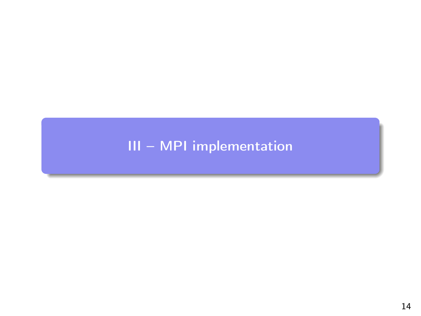# <span id="page-13-0"></span>III - MPI implementation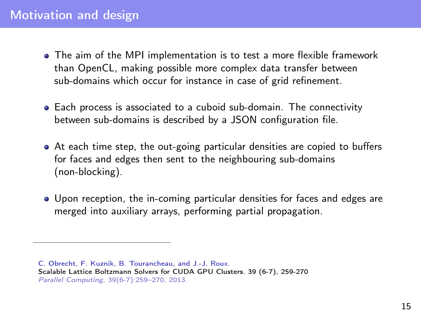#### Motivation and design

- The aim of the MPI implementation is to test a more flexible framework than OpenCL, making possible more complex data transfer between sub-domains which occur for instance in case of grid refinement.
- Each process is associated to a cuboid sub-domain. The connectivity between sub-domains is described by a JSON configuration file.
- At each time step, the out-going particular densities are copied to buffers for faces and edges then sent to the neighbouring sub-domains (non-blocking).
- Upon reception, the in-coming particular densities for faces and edges are merged into auxiliary arrays, performing partial propagation.

C. Obrecht, F. Kuznik, B. Tourancheau, and J.-J. Roux. Scalable Lattice Boltzmann Solvers for CUDA GPU Clusters. 39 (6-7), 259-270 Parallel Computing, 39(6-7):259–270, 2013.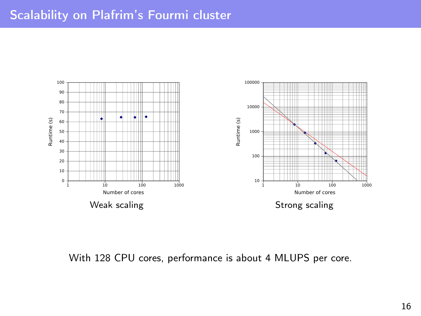## Scalability on Plafrim's Fourmi cluster



#### With 128 CPU cores, performance is about 4 MLUPS per core.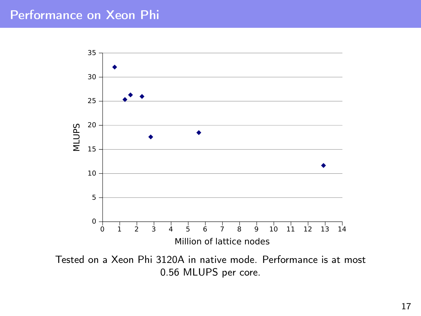## Performance on Xeon Phi



Tested on a Xeon Phi 3120A in native mode. Performance is at most 0.56 MLUPS per core.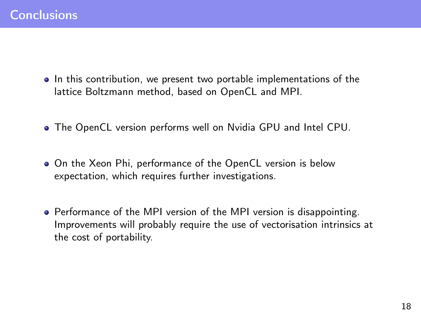- In this contribution, we present two portable implementations of the lattice Boltzmann method, based on OpenCL and MPI.
- The OpenCL version performs well on Nvidia GPU and Intel CPU.
- On the Xeon Phi, performance of the OpenCL version is below expectation, which requires further investigations.
- Performance of the MPI version of the MPI version is disappointing. Improvements will probably require the use of vectorisation intrinsics at the cost of portability.